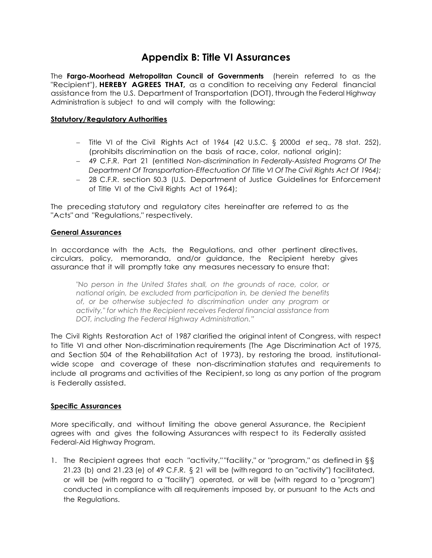## **Appendix B: Title VI Assurances**

The **Fargo-Moorhead Metropolitan Council of Governments** (herein referred to as the "Recipient"), **HEREBY AGREES THAT,** as a condition to receiving any Federal financial assistance from the U.S. Department of Transportation (DOT), through the Federal Highway Administration is subject to and will comply with the following:

#### **Statutory/Regulatory Authorities**

- Title VI of the Civil Rights Act of 1964 (42 U.S.C. § 2000d *et seq.,* 78 stat. 252), (prohibits discrimination on the basis of race, color, national origin);
- 49 C.F.R. Part 21 (entitled *Non-discrimination In Federally-Assisted Programs Of The Department Of Transportation-Effectuation Of Title VI Of The Civil Rights Act Of 1964);*
- 28 C.F.R. section 50.3 (U.S. Department of Justice Guidelines for Enforcement of Title VI of the Civil Rights Act of 1964);

The preceding statutory and regulatory cites hereinafter are referred to as the "Acts" and "Regulations," respectively.

#### **General Assurances**

In accordance with the Acts, the Regulations, and other pertinent directives, circulars, policy, memoranda, and/or guidance, the Recipient hereby gives assurance that it will promptly take any measures necessary to ensure that:

*"No person in the United States shall, on the grounds of race, color, or national origin, be excluded from participation in, be denied the benefits of, or be otherwise subjected to discrimination under any program or activity," for which the Recipient receives Federal financial assistance from DOT, including the Federal Highway Administration."*

The Civil Rights Restoration Act of 1987 clarified the original intent of Congress, with respect to Title VI and other Non-discrimination requirements (The Age Discrimination Act of 1975, and Section 504 of the Rehabilitation Act of 1973), by restoring the broad, institutionalwide scope and coverage of these non-discrimination statutes and requirements to include all programs and activities of the Recipient,so long as any portion of the program is Federally assisted.

#### **Specific Assurances**

More specifically, and without limiting the above general Assurance, the Recipient agrees with and gives the following Assurances with respect to its Federally assisted Federal-Aid Highway Program.

1. The Recipient agrees that each "activity,""facility," or "program," as defined in §§ 21.23 (b) and 21.23 (e) of 49 C.F.R. § 21 will be (with regard to an "activity") facilitated, or will be (with regard to a "facility") operated, or will be (with regard to a "program") conducted in compliance with all requirements imposed by, or pursuant to the Acts and the Regulations.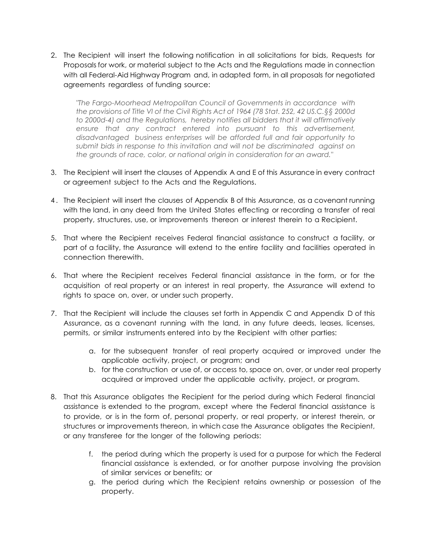2. The Recipient will insert the following notification in all solicitations for bids, Requests for Proposals for work, or material subject to the Acts and the Regulations made in connection with all Federal-Aid Highway Program and, in adapted form, in all proposals for negotiated agreements regardless of funding source:

*"The Fargo-Moorhead Metropolitan Council of Governments in accordance with the provisions of Title VI of the Civil Rights Act of 1964 (78 Stat. 252, 42 US.C.§§ 2000d to 2000d-4) and the Regulations, hereby notifies all bidders that it will affirmatively ensure that any contract entered into pursuant to this advertisement, disadvantaged business enterprises will be afforded full and fair opportunity to submit bids in response to this invitation and will not be discriminated against on the grounds of race, color, or national origin in consideration for an award."*

- 3. The Recipient will insert the clauses of Appendix A and E of this Assurance in every contract or agreement subject to the Acts and the Regulations.
- 4 . The Recipient will insert the clauses of Appendix B of this Assurance, as a covenant running with the land, in any deed from the United States effecting or recording a transfer of real property, structures, use, or improvements thereon or interest therein to a Recipient.
- 5. That where the Recipient receives Federal financial assistance to construct a facility, or part of a facility, the Assurance will extend to the entire facility and facilities operated in connection therewith.
- 6. That where the Recipient receives Federal financial assistance in the form, or for the acquisition of real property or an interest in real property, the Assurance will extend to rights to space on, over, or under such property.
- 7. That the Recipient will include the clauses set forth in Appendix C and Appendix D of this Assurance, as a covenant running with the land, in any future deeds, leases, licenses, permits, or similar instruments entered into by the Recipient with other parties:
	- a. for the subsequent transfer of real property acquired or improved under the applicable activity, project, or program; and
	- b. for the construction or use of, or access to, space on, over, or under real property acquired or improved under the applicable activity, project, or program.
- 8. That this Assurance obligates the Recipient for the period during which Federal financial assistance is extended to the program, except where the Federal financial assistance is to provide, or is in the form of, personal property, or real property, or interest therein, or structures or improvements thereon, in which case the Assurance obligates the Recipient, or any transferee for the longer of the following periods:
	- f. the period during which the property is used for a purpose for which the Federal financial assistance is extended, or for another purpose involving the provision of similar services or benefits; or
	- g. the period during which the Recipient retains ownership or possession of the property.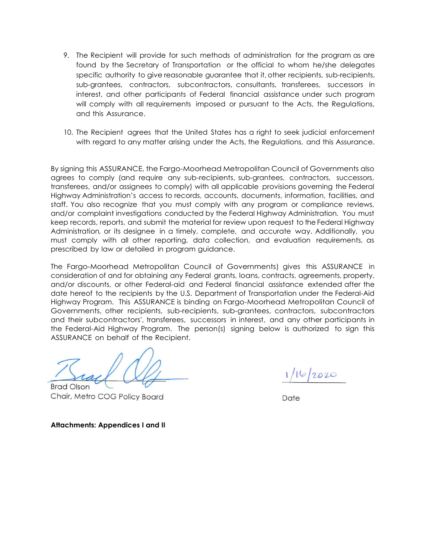- 9. The Recipient will provide for such methods of administration for the program as are found by the Secretary of Transportation or the official to whom he/she delegates specific authority to give reasonable guarantee that it, other recipients, sub-recipients, sub-grantees, contractors, subcontractors, consultants, transferees, successors in interest, and other participants of Federal financial assistance under such program will comply with all requirements imposed or pursuant to the Acts, the Regulations, and this Assurance.
- 10. The Recipient agrees that the United States has a right to seek judicial enforcement with regard to any matter arising under the Acts, the Regulations, and this Assurance.

By signing this ASSURANCE, the Fargo-Moorhead Metropolitan Council of Governments also agrees to comply (and require any sub-recipients, sub-grantees, contractors, successors, transferees, and/or assignees to comply) with all applicable provisions governing the Federal Highway Administration's access to records, accounts, documents, information, facilities, and staff. You also recognize that you must comply with any program or compliance reviews, and/or complaint investigations conducted by the Federal Highway Administration*.* You must keep records, reports, and submit the material for review upon request to the Federal Highway Administration*,* or its designee in a timely, complete, and accurate way. Additionally, you must comply with all other reporting, data collection, and evaluation requirements, as prescribed by law or detailed in program guidance.

The Fargo-Moorhead Metropolitan Council of Governments) gives this ASSURANCE in consideration of and for obtaining any Federal grants, loans, contracts, agreements, property, and/or discounts, or other Federal-aid and Federal financial assistance extended after the date hereof to the recipients by the U.S. Department of Transportation under the Federal-Aid Highway Program. This ASSURANCE is binding on Fargo-Moorhead Metropolitan Council of Governments, other recipients, sub-recipients, sub-grantees, contractors, subcontractors and their subcontractors', transferees, successors in interest, and any other participants in the Federal-Aid Highway Program. The person(s) signing below is authorized to sign this ASSURANCE on behalf of the Recipient.

 $16/2020$ 

Brad Olson Chair, Metro COG Policy Board Date

**Attachments: Appendices I and II**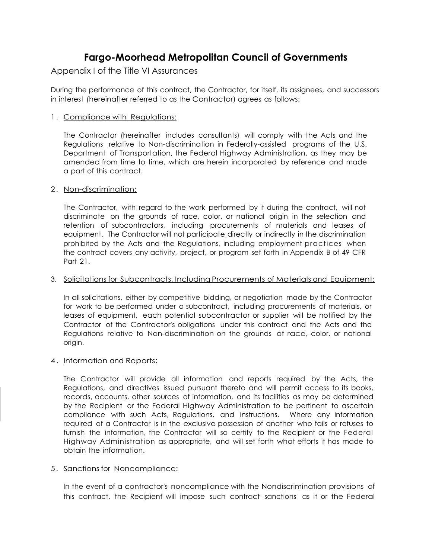# **Fargo-Moorhead Metropolitan Council of Governments**

### Appendix I of the Title VI Assurances

During the performance of this contract, the Contractor, for itself, its assignees, and successors in interest (hereinafter referred to as the Contractor) agrees as follows:

#### 1. Compliance with Regulations:

The Contractor (hereinafter includes consultants) will comply with the Acts and the Regulations relative to Non-discrimination in Federally-assisted programs of the U.S. Department of Transportation, the Federal Highway Administration, as they may be amended from time to time, which are herein incorporated by reference and made a part of this contract.

#### 2. Non-discrimination:

The Contractor, with regard to the work performed by it during the contract, will not discriminate on the grounds of race, color, or national origin in the selection and retention of subcontractors, including procurements of materials and leases of equipment. The Contractor will not participate directly or indirectly in the discrimination prohibited by the Acts and the Regulations, including employment practices when the contract covers any activity, project, or program set forth in Appendix B of 49 CFR Part 21.

#### 3. Solicitations for Subcontracts, Including Procurements of Materials and Equipment:

In all solicitations, either by competitive bidding, or negotiation made by the Contractor for work to be performed under a subcontract, including procurements of materials, or leases of equipment, each potential subcontractor or supplier will be notified by the Contractor of the Contractor's obligations under this contract and the Acts and the Regulations relative to Non-discrimination on the grounds of race, color, or national origin.

#### 4. Information and Reports:

The Contractor will provide all information and reports required by the Acts, the Regulations, and directives issued pursuant thereto and will permit access to its books, records, accounts, other sources of information, and its facilities as may be determined by the Recipient or the Federal Highway Administration to be pertinent to ascertain compliance with such Acts, Regulations, and instructions. Where any information required of a Contractor is in the exclusive possession of another who fails or refuses to furnish the information, the Contractor will so certify to the Recipient or the Federal Highway Administration as appropriate, and will set forth what efforts it has made to obtain the information.

#### 5. Sanctions for Noncompliance:

In the event of a contractor's noncompliance with the Nondiscrimination provisions of this contract, the Recipient will impose such contract sanctions as it or the Federal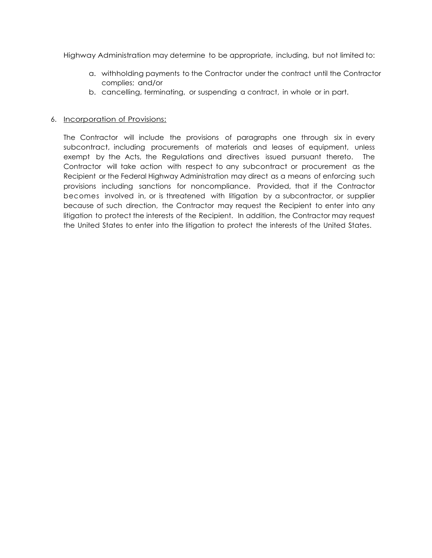Highway Administration may determine to be appropriate, including, but not limited to:

- a. withholding payments to the Contractor under the contract until the Contractor complies; and/or
- b. cancelling, terminating, or suspending a contract, in whole or in part.

#### 6. Incorporation of Provisions:

The Contractor will include the provisions of paragraphs one through six in every subcontract, including procurements of materials and leases of equipment, unless exempt by the Acts, the Regulations and directives issued pursuant thereto. The Contractor will take action with respect to any subcontract or procurement as the Recipient or the Federal Highway Administration may direct as a means of enforcing such provisions including sanctions for noncompliance. Provided, that if the Contractor becomes involved in, or is threatened with litigation by a subcontractor, or supplier because of such direction, the Contractor may request the Recipient to enter into any litigation to protect the interests of the Recipient. In addition, the Contractor may request the United States to enter into the litigation to protect the interests of the United States.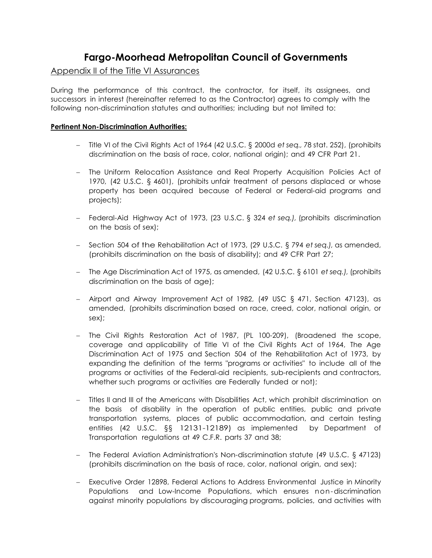# **Fargo-Moorhead Metropolitan Council of Governments**

## Appendix II of the Title VI Assurances

During the performance of this contract, the contractor, for itself, its assignees, and successors in interest (hereinafter referred to as the Contractor) agrees to comply with the following non-discrimination statutes and authorities; including but not limited to:

### **Pertinent Non-Discrimination Authorities:**

- Title VI of the Civil Rights Act of 1964 (42 U.S.C. § 2000d *et seq.,* 78 stat. 252), (prohibits discrimination on the basis of race, color, national origin); and 49 CFR Part 21.
- The Uniform Relocation Assistance and Real Property Acquisition Policies Act of 1970, (42 U.S.C. § 4601), (prohibits unfair treatment of persons displaced or whose property has been acquired because of Federal or Federal-aid programs and projects);
- Federal-Aid Highway Act of 1973, (23 U.S.C. § 324 *et seq.),* (prohibits discrimination on the basis of sex);
- Section 504 of the Rehabilitation Act of 1973, (29 U.S.C. § 794 *et seq.),* as amended, (prohibits discrimination on the basis of disability); and 49 CFR Part 27;
- The Age Discrimination Act of 1975, as amended, (42 U.S.C. § 6101 *et seq.),* (prohibits discrimination on the basis of age);
- Airport and Airway Improvement Act of 1982, (49 USC § 471, Section 47123), as amended, (prohibits discrimination based on race, creed, color, national origin, or sex);
- The Civil Rights Restoration Act of 1987, (PL 100-209), (Broadened the scope, coverage and applicability of Title VI of the Civil Rights Act of 1964, The Age Discrimination Act of 1975 and Section 504 of the Rehabilitation Act of 1973, by expanding the definition of the terms "programs or activities" to include all of the programs or activities of the Federal-aid recipients, sub-recipients and contractors, whether such programs or activities are Federally funded or not);
- Titles II and III of the Americans with Disabilities Act, which prohibit discrimination on the basis of disability in the operation of public entities, public and private transportation systems, places of public accommodation, and certain testing entities (42 U.S.C. §§ 12131-12189) as implemented by Department of Transportation regulations at 49 C.F.R. parts 37 and 38;
- The Federal Aviation Administration's Non-discrimination statute (49 U.S.C. § 47123) (prohibits discrimination on the basis of race, color, national origin, and sex);
- Executive Order 12898, Federal Actions to Address Environmental Justice in Minority Populations and Low-Income Populations, which ensures non-discrimination against minority populations by discouraging programs, policies, and activities with